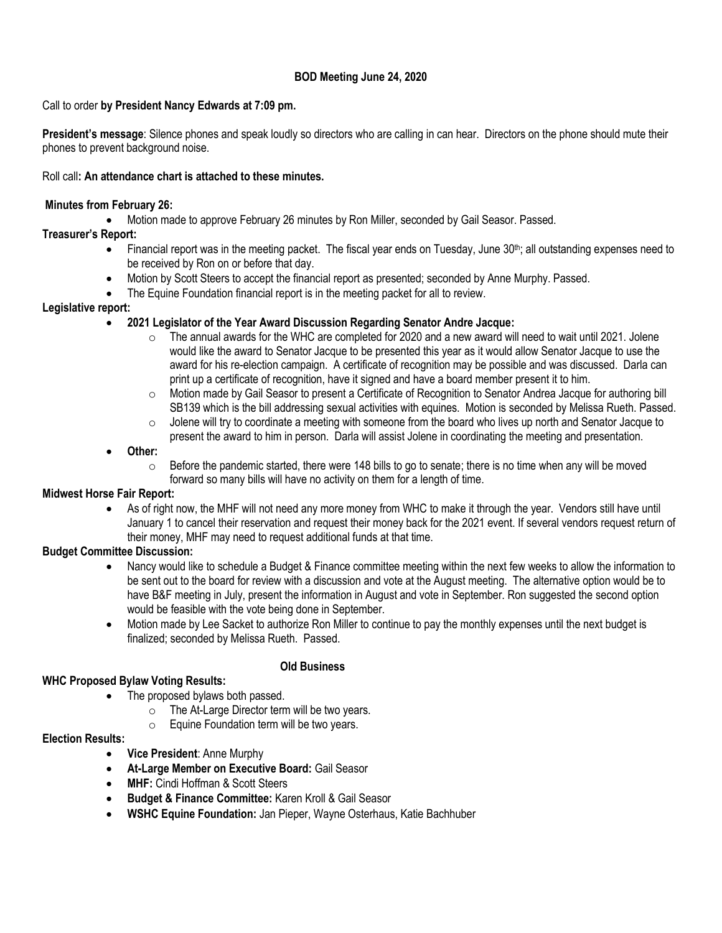## **BOD Meeting June 24, 2020**

## Call to order **by President Nancy Edwards at 7:09 pm.**

**President's message**: Silence phones and speak loudly so directors who are calling in can hear. Directors on the phone should mute their phones to prevent background noise.

## Roll call**: An attendance chart is attached to these minutes.**

## **Minutes from February 26:**

• Motion made to approve February 26 minutes by Ron Miller, seconded by Gail Seasor. Passed.

# **Treasurer's Report:**

- Financial report was in the meeting packet. The fiscal year ends on Tuesday, June  $30<sup>th</sup>$ ; all outstanding expenses need to be received by Ron on or before that day.
- Motion by Scott Steers to accept the financial report as presented; seconded by Anne Murphy. Passed.
- The Equine Foundation financial report is in the meeting packet for all to review.

## **Legislative report:**

## • **2021 Legislator of the Year Award Discussion Regarding Senator Andre Jacque:**

- o The annual awards for the WHC are completed for 2020 and a new award will need to wait until 2021. Jolene would like the award to Senator Jacque to be presented this year as it would allow Senator Jacque to use the award for his re-election campaign. A certificate of recognition may be possible and was discussed. Darla can print up a certificate of recognition, have it signed and have a board member present it to him.
- o Motion made by Gail Seasor to present a Certificate of Recognition to Senator Andrea Jacque for authoring bill SB139 which is the bill addressing sexual activities with equines. Motion is seconded by Melissa Rueth. Passed.
- $\circ$  Jolene will try to coordinate a meeting with someone from the board who lives up north and Senator Jacque to present the award to him in person. Darla will assist Jolene in coordinating the meeting and presentation.
- **Other:**
	- $\circ$  Before the pandemic started, there were 148 bills to go to senate; there is no time when any will be moved forward so many bills will have no activity on them for a length of time.

## **Midwest Horse Fair Report:**

• As of right now, the MHF will not need any more money from WHC to make it through the year. Vendors still have until January 1 to cancel their reservation and request their money back for the 2021 event. If several vendors request return of their money, MHF may need to request additional funds at that time.

# **Budget Committee Discussion:**

- Nancy would like to schedule a Budget & Finance committee meeting within the next few weeks to allow the information to be sent out to the board for review with a discussion and vote at the August meeting. The alternative option would be to have B&F meeting in July, present the information in August and vote in September. Ron suggested the second option would be feasible with the vote being done in September.
- Motion made by Lee Sacket to authorize Ron Miller to continue to pay the monthly expenses until the next budget is finalized; seconded by Melissa Rueth. Passed.

## **Old Business**

# **WHC Proposed Bylaw Voting Results:**

- The proposed bylaws both passed.
	- $\circ$  The At-Large Director term will be two years.
	- $\circ$  Equine Foundation term will be two years.

## **Election Results:**

- **Vice President**: Anne Murphy
- **At-Large Member on Executive Board:** Gail Seasor
- **MHF:** Cindi Hoffman & Scott Steers
- **Budget & Finance Committee:** Karen Kroll & Gail Seasor
- **WSHC Equine Foundation:** Jan Pieper, Wayne Osterhaus, Katie Bachhuber